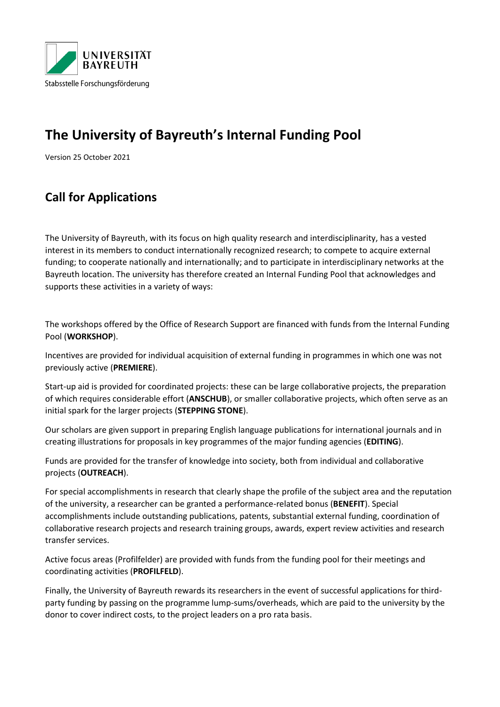

# **The University of Bayreuth's Internal Funding Pool**

Version 25 October 2021

## **Call for Applications**

The University of Bayreuth, with its focus on high quality research and interdisciplinarity, has a vested interest in its members to conduct internationally recognized research; to compete to acquire external funding; to cooperate nationally and internationally; and to participate in interdisciplinary networks at the Bayreuth location. The university has therefore created an Internal Funding Pool that acknowledges and supports these activities in a variety of ways:

The workshops offered by the Office of Research Support are financed with funds from the Internal Funding Pool (**WORKSHOP**).

Incentives are provided for individual acquisition of external funding in programmes in which one was not previously active (**PREMIERE**).

Start-up aid is provided for coordinated projects: these can be large collaborative projects, the preparation of which requires considerable effort (**ANSCHUB**), or smaller collaborative projects, which often serve as an initial spark for the larger projects (**STEPPING STONE**).

Our scholars are given support in preparing English language publications for international journals and in creating illustrations for proposals in key programmes of the major funding agencies (**EDITING**).

Funds are provided for the transfer of knowledge into society, both from individual and collaborative projects (**OUTREACH**).

For special accomplishments in research that clearly shape the profile of the subject area and the reputation of the university, a researcher can be granted a performance-related bonus (**BENEFIT**). Special accomplishments include outstanding publications, patents, substantial external funding, coordination of collaborative research projects and research training groups, awards, expert review activities and research transfer services.

Active focus areas (Profilfelder) are provided with funds from the funding pool for their meetings and coordinating activities (**PROFILFELD**).

Finally, the University of Bayreuth rewards its researchers in the event of successful applications for thirdparty funding by passing on the programme lump-sums/overheads, which are paid to the university by the donor to cover indirect costs, to the project leaders on a pro rata basis.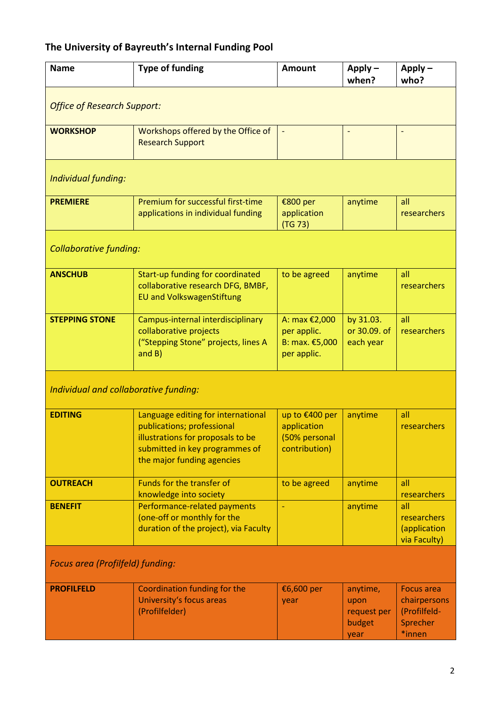## **The University of Bayreuth's Internal Funding Pool**

| <b>Name</b>                           | <b>Type of funding</b>                                                                                                                                                | <b>Amount</b>                                                   | $Apply -$<br>when?                                | $Apply -$<br>who?                                                       |
|---------------------------------------|-----------------------------------------------------------------------------------------------------------------------------------------------------------------------|-----------------------------------------------------------------|---------------------------------------------------|-------------------------------------------------------------------------|
| <b>Office of Research Support:</b>    |                                                                                                                                                                       |                                                                 |                                                   |                                                                         |
| <b>WORKSHOP</b>                       | Workshops offered by the Office of<br><b>Research Support</b>                                                                                                         | $\overline{\phantom{a}}$                                        |                                                   |                                                                         |
| Individual funding:                   |                                                                                                                                                                       |                                                                 |                                                   |                                                                         |
| <b>PREMIERE</b>                       | Premium for successful first-time<br>applications in individual funding                                                                                               | €800 per<br>application<br>(TG 73)                              | anytime                                           | all<br>researchers                                                      |
| <b>Collaborative funding:</b>         |                                                                                                                                                                       |                                                                 |                                                   |                                                                         |
| <b>ANSCHUB</b>                        | Start-up funding for coordinated<br>collaborative research DFG, BMBF,<br><b>EU and VolkswagenStiftung</b>                                                             | to be agreed                                                    | anytime                                           | all<br>researchers                                                      |
| <b>STEPPING STONE</b>                 | Campus-internal interdisciplinary<br>collaborative projects<br>("Stepping Stone" projects, lines A<br>and B)                                                          | A: max €2,000<br>per applic.<br>B: max. €5,000<br>per applic.   | by 31.03.<br>or 30.09. of<br>each year            | all<br>researchers                                                      |
| Individual and collaborative funding: |                                                                                                                                                                       |                                                                 |                                                   |                                                                         |
| <b>EDITING</b>                        | Language editing for international<br>publications; professional<br>illustrations for proposals to be<br>submitted in key programmes of<br>the major funding agencies | up to €400 per<br>application<br>(50% personal<br>contribution) | anytime                                           | all<br>researchers                                                      |
| <b>OUTREACH</b>                       | Funds for the transfer of<br>knowledge into society                                                                                                                   | to be agreed                                                    | anytime                                           | all<br>researchers                                                      |
| <b>BENEFIT</b>                        | Performance-related payments<br>(one-off or monthly for the<br>duration of the project), via Faculty                                                                  |                                                                 | anytime                                           | all<br>researchers<br>(application<br>via Faculty)                      |
| Focus area (Profilfeld) funding:      |                                                                                                                                                                       |                                                                 |                                                   |                                                                         |
| <b>PROFILFELD</b>                     | Coordination funding for the<br>University's focus areas<br>(Profilfelder)                                                                                            | €6,600 per<br>year                                              | anytime,<br>upon<br>request per<br>budget<br>year | <b>Focus area</b><br>chairpersons<br>(Profilfeld-<br>Sprecher<br>*innen |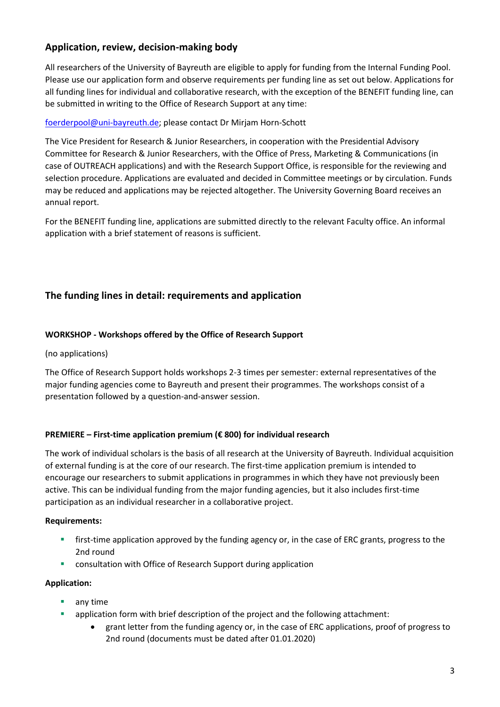## **Application, review, decision-making body**

All researchers of the University of Bayreuth are eligible to apply for funding from the Internal Funding Pool. Please use our application form and observe requirements per funding line as set out below. Applications for all funding lines for individual and collaborative research, with the exception of the BENEFIT funding line, can be submitted in writing to the Office of Research Support at any time:

## [foerderpool@uni-bayreuth.de;](mailto:foerderpool@uni-bayreuth.de) please contact Dr Mirjam Horn-Schott

The Vice President for Research & Junior Researchers, in cooperation with the Presidential Advisory Committee for Research & Junior Researchers, with the Office of Press, Marketing & Communications (in case of OUTREACH applications) and with the Research Support Office, is responsible for the reviewing and selection procedure. Applications are evaluated and decided in Committee meetings or by circulation. Funds may be reduced and applications may be rejected altogether. The University Governing Board receives an annual report.

For the BENEFIT funding line, applications are submitted directly to the relevant Faculty office. An informal application with a brief statement of reasons is sufficient.

## **The funding lines in detail: requirements and application**

#### **WORKSHOP - Workshops offered by the Office of Research Support**

#### (no applications)

The Office of Research Support holds workshops 2-3 times per semester: external representatives of the major funding agencies come to Bayreuth and present their programmes. The workshops consist of a presentation followed by a question-and-answer session.

#### **PREMIERE – First-time application premium (€ 800) for individual research**

The work of individual scholars is the basis of all research at the University of Bayreuth. Individual acquisition of external funding is at the core of our research. The first-time application premium is intended to encourage our researchers to submit applications in programmes in which they have not previously been active. This can be individual funding from the major funding agencies, but it also includes first-time participation as an individual researcher in a collaborative project.

#### **Requirements:**

- **first-time application approved by the funding agency or, in the case of ERC grants, progress to the** 2nd round
- consultation with Office of Research Support during application

#### **Application:**

- **any time**
- application form with brief description of the project and the following attachment:
	- grant letter from the funding agency or, in the case of ERC applications, proof of progress to 2nd round (documents must be dated after 01.01.2020)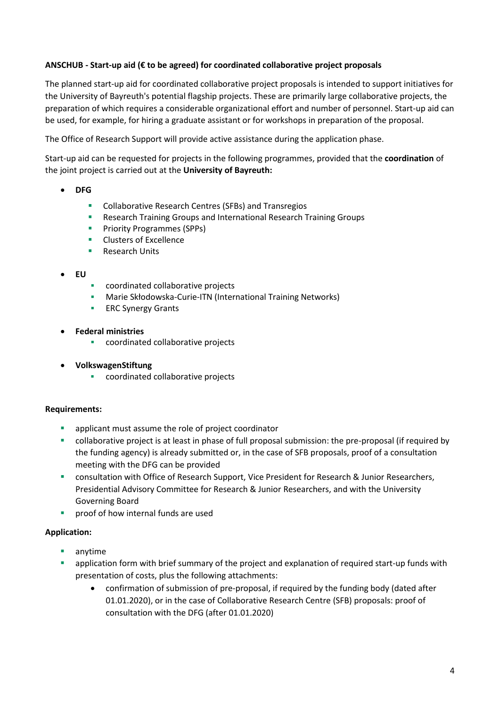## **ANSCHUB - Start-up aid (€ to be agreed) for coordinated collaborative project proposals**

The planned start-up aid for coordinated collaborative project proposals is intended to support initiatives for the University of Bayreuth's potential flagship projects. These are primarily large collaborative projects, the preparation of which requires a considerable organizational effort and number of personnel. Start-up aid can be used, for example, for hiring a graduate assistant or for workshops in preparation of the proposal.

The Office of Research Support will provide active assistance during the application phase.

Start-up aid can be requested for projects in the following programmes, provided that the **coordination** of the joint project is carried out at the **University of Bayreuth:**

- **DFG**
	- **•** Collaborative Research Centres (SFBs) and Transregios
	- **Research Training Groups and International Research Training Groups**
	- **Priority Programmes (SPPs)**
	- **Clusters of Excellence**
	- **Research Units**
- **EU**
- coordinated collaborative projects
- Marie Skłodowska-Curie-ITN (International Training Networks)
- **ERC Synergy Grants**
- **Federal ministries**
	- **•** coordinated collaborative projects
- **VolkswagenStiftung**
	- **COORDINATED COORDINATES**

#### **Requirements:**

- applicant must assume the role of project coordinator
- collaborative project is at least in phase of full proposal submission: the pre-proposal (if required by the funding agency) is already submitted or, in the case of SFB proposals, proof of a consultation meeting with the DFG can be provided
- **EXECT** consultation with Office of Research Support, Vice President for Research & Junior Researchers, Presidential Advisory Committee for Research & Junior Researchers, and with the University Governing Board
- $\blacksquare$  proof of how internal funds are used

#### **Application:**

- anytime
- application form with brief summary of the project and explanation of required start-up funds with presentation of costs, plus the following attachments:
	- confirmation of submission of pre-proposal, if required by the funding body (dated after 01.01.2020), or in the case of Collaborative Research Centre (SFB) proposals: proof of consultation with the DFG (after 01.01.2020)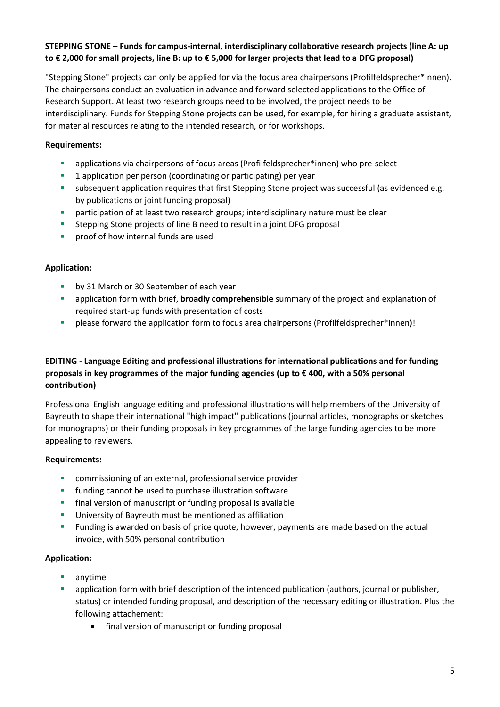## **STEPPING STONE – Funds for campus-internal, interdisciplinary collaborative research projects (line A: up to € 2,000 for small projects, line B: up to € 5,000 for larger projects that lead to a DFG proposal)**

"Stepping Stone" projects can only be applied for via the focus area chairpersons (Profilfeldsprecher\*innen). The chairpersons conduct an evaluation in advance and forward selected applications to the Office of Research Support. At least two research groups need to be involved, the project needs to be interdisciplinary. Funds for Stepping Stone projects can be used, for example, for hiring a graduate assistant, for material resources relating to the intended research, or for workshops.

## **Requirements:**

- applications via chairpersons of focus areas (Profilfeldsprecher\*innen) who pre-select
- **1** application per person (coordinating or participating) per year
- **subsequent application requires that first Stepping Stone project was successful (as evidenced e.g.**) by publications or joint funding proposal)
- **•** participation of at least two research groups; interdisciplinary nature must be clear
- **EXTERN Stepping Stone projects of line B need to result in a joint DFG proposal**
- **Part of starth** proof of how internal funds are used

## **Application:**

- by 31 March or 30 September of each year
- application form with brief, **broadly comprehensible** summary of the project and explanation of required start-up funds with presentation of costs
- please forward the application form to focus area chairpersons (Profilfeldsprecher\*innen)!

## **EDITING - Language Editing and professional illustrations for international publications and for funding proposals in key programmes of the major funding agencies (up to € 400, with a 50% personal contribution)**

Professional English language editing and professional illustrations will help members of the University of Bayreuth to shape their international "high impact" publications (journal articles, monographs or sketches for monographs) or their funding proposals in key programmes of the large funding agencies to be more appealing to reviewers.

#### **Requirements:**

- **•** commissioning of an external, professional service provider
- **funding cannot be used to purchase illustration software**
- **final version of manuscript or funding proposal is available**
- **University of Bayreuth must be mentioned as affiliation**
- Funding is awarded on basis of price quote, however, payments are made based on the actual invoice, with 50% personal contribution

#### **Application:**

- **anytime**
- application form with brief description of the intended publication (authors, journal or publisher, status) or intended funding proposal, and description of the necessary editing or illustration. Plus the following attachement:
	- final version of manuscript or funding proposal